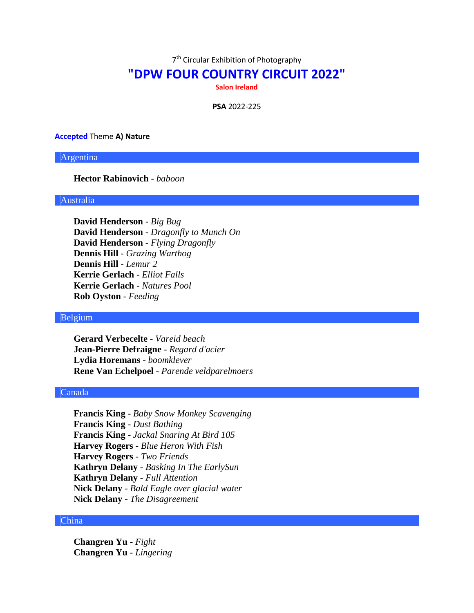7<sup>th</sup> Circular Exhibition of Photography

# **"DPW FOUR COUNTRY CIRCUIT 2022"**

**Salon Ireland**

**PSA** 2022-225

### **Accepted** Theme **A) Nature**

Argentina

# **Hector Rabinovich** - *baboon*

# Australia

**David Henderson** - *Big Bug* **David Henderson** - *Dragonfly to Munch On* **David Henderson** - *Flying Dragonfly* **Dennis Hill** - *Grazing Warthog* **Dennis Hill** - *Lemur 2* **Kerrie Gerlach** - *Elliot Falls* **Kerrie Gerlach** - *Natures Pool* **Rob Oyston** - *Feeding*

### Belgium

**Gerard Verbecelte** - *Vareid beach* **Jean-Pierre Defraigne** - *Regard d'acier* **Lydia Horemans** - *boomklever* **Rene Van Echelpoel** - *Parende veldparelmoers*

# Canada

**Francis King** - *Baby Snow Monkey Scavenging* **Francis King** - *Dust Bathing* **Francis King** - *Jackal Snaring At Bird 105* **Harvey Rogers** - *Blue Heron With Fish* **Harvey Rogers** - *Two Friends* **Kathryn Delany** - *Basking In The EarlySun* **Kathryn Delany** - *Full Attention* **Nick Delany** - *Bald Eagle over glacial water* **Nick Delany** - *The Disagreement*

#### China

**Changren Yu** - *Fight* **Changren Yu** - *Lingering*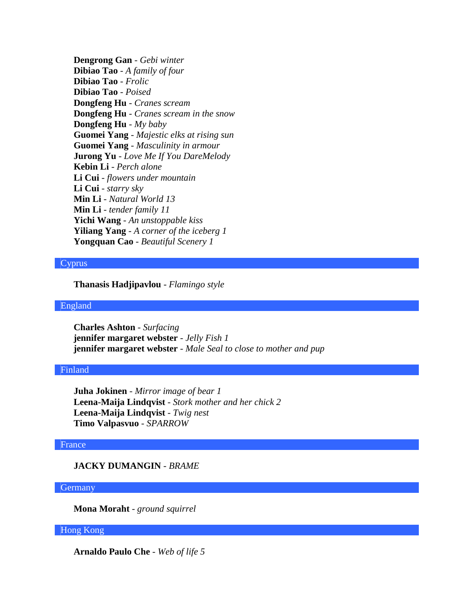**Dengrong Gan** - *Gebi winter* **Dibiao Tao** - *A family of four* **Dibiao Tao** - *Frolic* **Dibiao Tao** - *Poised* **Dongfeng Hu** - *Cranes scream* **Dongfeng Hu** - *Cranes scream in the snow* **Dongfeng Hu** - *My baby* **Guomei Yang** - *Majestic elks at rising sun* **Guomei Yang** - *Masculinity in armour* **Jurong Yu** - *Love Me If You DareMelody* **Kebin Li** - *Perch alone* **Li Cui** - *flowers under mountain* **Li Cui** - *starry sky* **Min Li** - *Natural World 13* **Min Li** - *tender family 11* **Yichi Wang** - *An unstoppable kiss* **Yiliang Yang** - *A corner of the iceberg 1* **Yongquan Cao** - *Beautiful Scenery 1*

### Cyprus

**Thanasis Hadjipavlou** - *Flamingo style*

#### England

**Charles Ashton** - *Surfacing* **jennifer margaret webster** - *Jelly Fish 1* **jennifer margaret webster** - *Male Seal to close to mother and pup*

### Finland

**Juha Jokinen** - *Mirror image of bear 1* **Leena-Maija Lindqvist** - *Stork mother and her chick 2* **Leena-Maija Lindqvist** - *Twig nest* **Timo Valpasvuo** - *SPARROW*

### France

# **JACKY DUMANGIN** - *BRAME*

# **Germany**

**Mona Moraht** - *ground squirrel*

### Hong Kong

**Arnaldo Paulo Che** - *Web of life 5*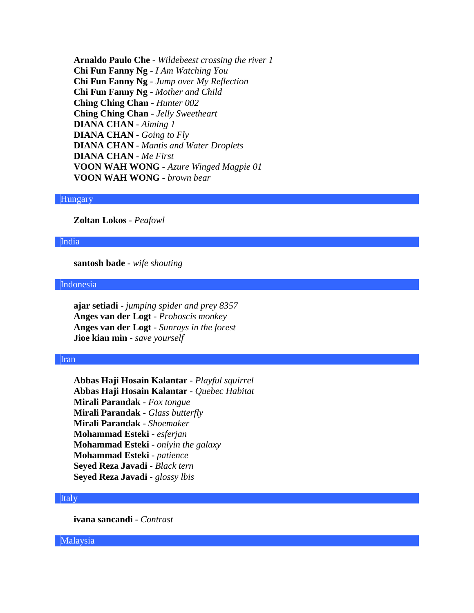**Arnaldo Paulo Che** - *Wildebeest crossing the river 1* **Chi Fun Fanny Ng** - *I Am Watching You* **Chi Fun Fanny Ng** - *Jump over My Reflection* **Chi Fun Fanny Ng** - *Mother and Child* **Ching Ching Chan** - *Hunter 002* **Ching Ching Chan** - *Jelly Sweetheart* **DIANA CHAN** - *Aiming 1* **DIANA CHAN** - *Going to Fly* **DIANA CHAN** - *Mantis and Water Droplets* **DIANA CHAN** - *Me First* **VOON WAH WONG** - *Azure Winged Magpie 01* **VOON WAH WONG** - *brown bear*

# Hungary

**Zoltan Lokos** - *Peafowl*

### India

**santosh bade** - *wife shouting*

### Indonesia

**ajar setiadi** - *jumping spider and prey 8357* **Anges van der Logt** - *Proboscis monkey* **Anges van der Logt** - *Sunrays in the forest* **Jioe kian min** - *save yourself*

#### Iran

**Abbas Haji Hosain Kalantar** - *Playful squirrel* **Abbas Haji Hosain Kalantar** - *Quebec Habitat* **Mirali Parandak** - *Fox tongue* **Mirali Parandak** - *Glass butterfly* **Mirali Parandak** - *Shoemaker* **Mohammad Esteki** - *esferjan* **Mohammad Esteki** - *onlyin the galaxy* **Mohammad Esteki** - *patience* **Seyed Reza Javadi** - *Black tern* **Seyed Reza Javadi** - *glossy lbis*

### Italy

**ivana sancandi** - *Contrast*

Malaysia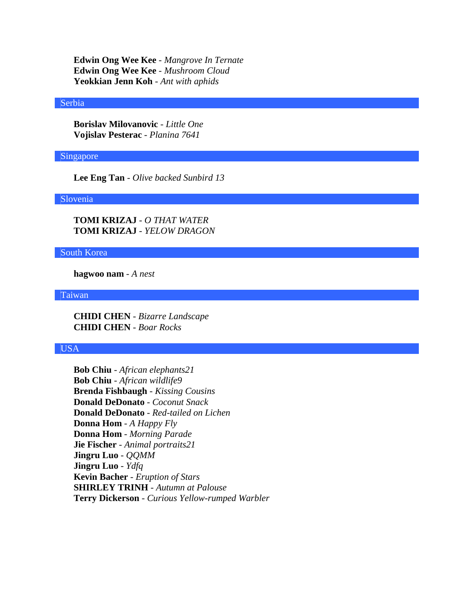**Edwin Ong Wee Kee** - *Mangrove In Ternate* **Edwin Ong Wee Kee** - *Mushroom Cloud* **Yeokkian Jenn Koh** - *Ant with aphids*

#### Serbia

**Borislav Milovanovic** - *Little One* **Vojislav Pesterac** - *Planina 7641*

# Singapore

**Lee Eng Tan** - *Olive backed Sunbird 13*

# Slovenia

**TOMI KRIZAJ** - *O THAT WATER* **TOMI KRIZAJ** - *YELOW DRAGON*

# South Korea

**hagwoo nam** - *A nest*

Taiwan

**CHIDI CHEN** - *Bizarre Landscape* **CHIDI CHEN** - *Boar Rocks*

# USA

**Bob Chiu** - *African elephants21* **Bob Chiu** - *African wildlife9* **Brenda Fishbaugh** - *Kissing Cousins* **Donald DeDonato** - *Coconut Snack* **Donald DeDonato** - *Red-tailed on Lichen* **Donna Hom** - *A Happy Fly* **Donna Hom** - *Morning Parade* **Jie Fischer** - *Animal portraits21* **Jingru Luo** - *QQMM* **Jingru Luo** - *Ydfq* **Kevin Bacher** - *Eruption of Stars* **SHIRLEY TRINH** - *Autumn at Palouse* **Terry Dickerson** - *Curious Yellow-rumped Warbler*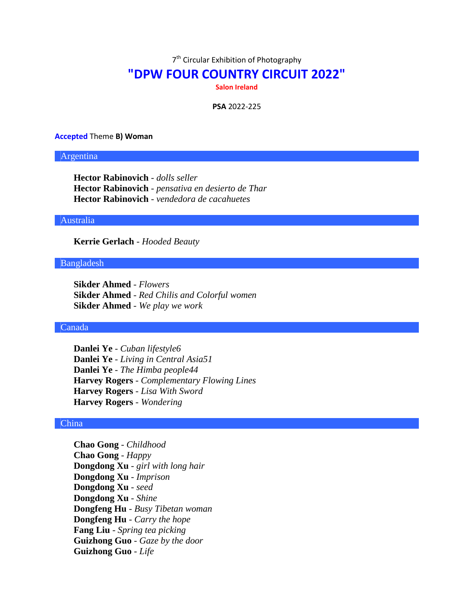7<sup>th</sup> Circular Exhibition of Photography

# **"DPW FOUR COUNTRY CIRCUIT 2022"**

**Salon Ireland**

**PSA** 2022-225

#### **Accepted** Theme **B) Woman**

### Argentina

**Hector Rabinovich** - *dolls seller* **Hector Rabinovich** - *pensativa en desierto de Thar* **Hector Rabinovich** - *vendedora de cacahuetes*

### Australia

**Kerrie Gerlach** - *Hooded Beauty*

### Bangladesh

**Sikder Ahmed** - *Flowers* **Sikder Ahmed** - *Red Chilis and Colorful women* **Sikder Ahmed** - *We play we work*

# Canada

**Danlei Ye** - *Cuban lifestyle6* **Danlei Ye** - *Living in Central Asia51* **Danlei Ye** - *The Himba people44* **Harvey Rogers** - *Complementary Flowing Lines* **Harvey Rogers** - *Lisa With Sword* **Harvey Rogers** - *Wondering*

# China

**Chao Gong** - *Childhood* **Chao Gong** - *Happy* **Dongdong Xu** - *girl with long hair* **Dongdong Xu** - *Imprison* **Dongdong Xu** - *seed* **Dongdong Xu** - *Shine* **Dongfeng Hu** - *Busy Tibetan woman* **Dongfeng Hu** - *Carry the hope* **Fang Liu** - *Spring tea picking* **Guizhong Guo** - *Gaze by the door* **Guizhong Guo** - *Life*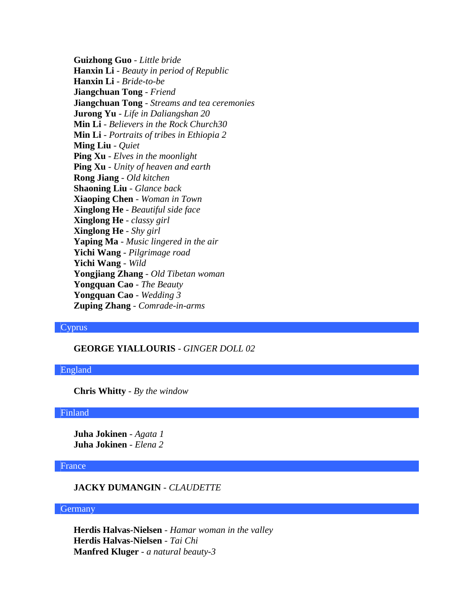**Guizhong Guo** - *Little bride* **Hanxin Li** - *Beauty in period of Republic* **Hanxin Li** - *Bride-to-be* **Jiangchuan Tong** - *Friend* **Jiangchuan Tong** - *Streams and tea ceremonies* **Jurong Yu** - *Life in Daliangshan 20* **Min Li** - *Believers in the Rock Church30* **Min Li** - *Portraits of tribes in Ethiopia 2* **Ming Liu** - *Quiet* **Ping Xu** - *Elves in the moonlight* **Ping Xu** - *Unity of heaven and earth* **Rong Jiang** - *Old kitchen* **Shaoning Liu** - *Glance back* **Xiaoping Chen** - *Woman in Town* **Xinglong He** - *Beautiful side face* **Xinglong He** - *classy girl* **Xinglong He** - *Shy girl* **Yaping Ma** - *Music lingered in the air* **Yichi Wang** - *Pilgrimage road* **Yichi Wang** - *Wild* **Yongjiang Zhang** - *Old Tibetan woman* **Yongquan Cao** - *The Beauty* **Yongquan Cao** - *Wedding 3* **Zuping Zhang** - *Comrade-in-arms*

# Cyprus

# **GEORGE YIALLOURIS** - *GINGER DOLL 02*

### England

**Chris Whitty** - *By the window*

#### Finland

**Juha Jokinen** - *Agata 1* **Juha Jokinen** - *Elena 2*

# France

# **JACKY DUMANGIN** - *CLAUDETTE*

#### **Germany**

**Herdis Halvas-Nielsen** - *Hamar woman in the valley* **Herdis Halvas-Nielsen** - *Tai Chi* **Manfred Kluger** - *a natural beauty-3*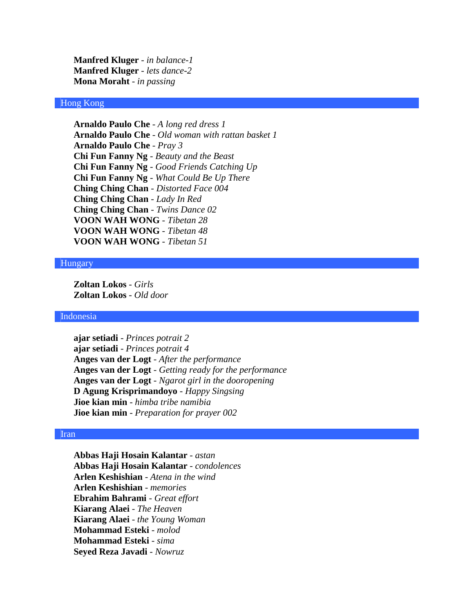**Manfred Kluger** - *in balance-1* **Manfred Kluger** - *lets dance-2* **Mona Moraht** - *in passing*

# Hong Kong

**Arnaldo Paulo Che** - *A long red dress 1* **Arnaldo Paulo Che** - *Old woman with rattan basket 1* **Arnaldo Paulo Che** - *Pray 3* **Chi Fun Fanny Ng** - *Beauty and the Beast* **Chi Fun Fanny Ng** - *Good Friends Catching Up* **Chi Fun Fanny Ng** - *What Could Be Up There* **Ching Ching Chan** - *Distorted Face 004* **Ching Ching Chan** - *Lady In Red* **Ching Ching Chan** - *Twins Dance 02* **VOON WAH WONG** - *Tibetan 28* **VOON WAH WONG** - *Tibetan 48* **VOON WAH WONG** - *Tibetan 51*

#### Hungary

**Zoltan Lokos** - *Girls* **Zoltan Lokos** - *Old door*

#### Indonesia

**ajar setiadi** - *Princes potrait 2* **ajar setiadi** - *Princes potrait 4* **Anges van der Logt** - *After the performance* **Anges van der Logt** - *Getting ready for the performance* **Anges van der Logt** - *Ngarot girl in the dooropening* **D Agung Krisprimandoyo** - *Happy Singsing* **Jioe kian min** - *himba tribe namibia* **Jioe kian min** - *Preparation for prayer 002*

# Iran

**Abbas Haji Hosain Kalantar** - *astan* **Abbas Haji Hosain Kalantar** - *condolences* **Arlen Keshishian** - *Atena in the wind* **Arlen Keshishian** - *memories* **Ebrahim Bahrami** - *Great effort* **Kiarang Alaei** - *The Heaven* **Kiarang Alaei** - *the Young Woman* **Mohammad Esteki** - *molod* **Mohammad Esteki** - *sima* **Seyed Reza Javadi** - *Nowruz*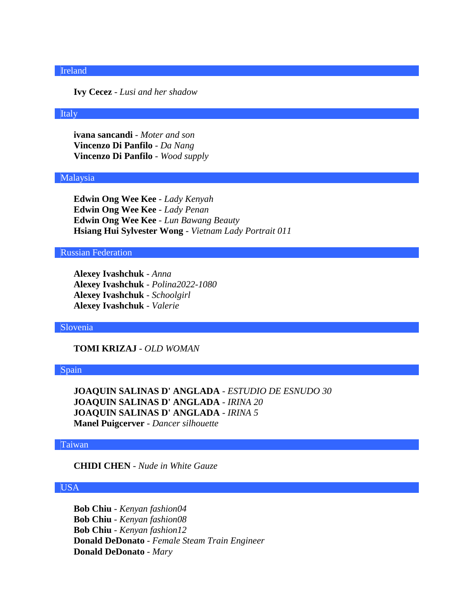#### Ireland

**Ivy Cecez** - *Lusi and her shadow*

### Italy

**ivana sancandi** - *Moter and son* **Vincenzo Di Panfilo** - *Da Nang* **Vincenzo Di Panfilo** - *Wood supply*

#### Malaysia

**Edwin Ong Wee Kee** - *Lady Kenyah* **Edwin Ong Wee Kee** - *Lady Penan* **Edwin Ong Wee Kee** - *Lun Bawang Beauty* **Hsiang Hui Sylvester Wong** - *Vietnam Lady Portrait 011*

# Russian Federation

**Alexey Ivashchuk** - *Anna* **Alexey Ivashchuk** - *Polina2022-1080* **Alexey Ivashchuk** - *Schoolgirl* **Alexey Ivashchuk** - *Valerie*

### Slovenia

**TOMI KRIZAJ** - *OLD WOMAN*

### Spain

**JOAQUIN SALINAS D' ANGLADA** - *ESTUDIO DE ESNUDO 30* **JOAQUIN SALINAS D' ANGLADA** - *IRINA 20* **JOAQUIN SALINAS D' ANGLADA** - *IRINA 5* **Manel Puigcerver** - *Dancer silhouette*

### Taiwan

# **CHIDI CHEN** - *Nude in White Gauze*

# USA

**Bob Chiu** - *Kenyan fashion04* **Bob Chiu** - *Kenyan fashion08* **Bob Chiu** - *Kenyan fashion12* **Donald DeDonato** - *Female Steam Train Engineer* **Donald DeDonato** - *Mary*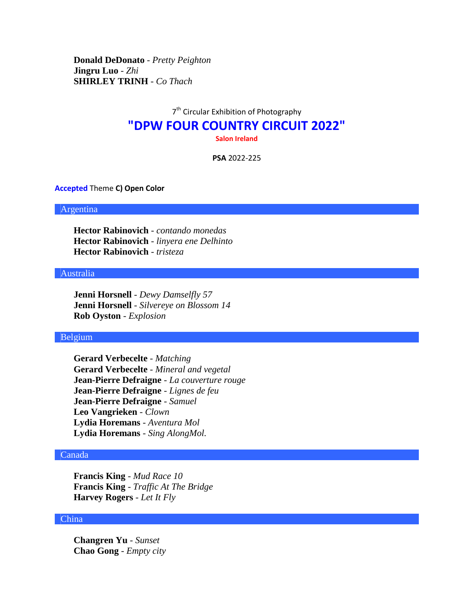**Donald DeDonato** - *Pretty Peighton* **Jingru Luo** - *Zhi* **SHIRLEY TRINH** - *Co Thach*

# 7<sup>th</sup> Circular Exhibition of Photography **"DPW FOUR COUNTRY CIRCUIT 2022" Salon Ireland**

**PSA** 2022-225

#### **Accepted** Theme **C) Open Color**

#### Argentina

**Hector Rabinovich** - *contando monedas* **Hector Rabinovich** - *linyera ene Delhinto* **Hector Rabinovich** - *tristeza*

# Australia

**Jenni Horsnell** - *Dewy Damselfly 57* **Jenni Horsnell** - *Silvereye on Blossom 14* **Rob Oyston** - *Explosion*

### Belgium

**Gerard Verbecelte** - *Matching* **Gerard Verbecelte** - *Mineral and vegetal* **Jean-Pierre Defraigne** - *La couverture rouge* **Jean-Pierre Defraigne** - *Lignes de feu* **Jean-Pierre Defraigne** - *Samuel* **Leo Vangrieken** - *Clown* **Lydia Horemans** - *Aventura Mol* **Lydia Horemans** - *Sing AlongMol.*

# Canada

**Francis King** - *Mud Race 10* **Francis King** - *Traffic At The Bridge* **Harvey Rogers** - *Let It Fly*

# China

**Changren Yu** - *Sunset* **Chao Gong** - *Empty city*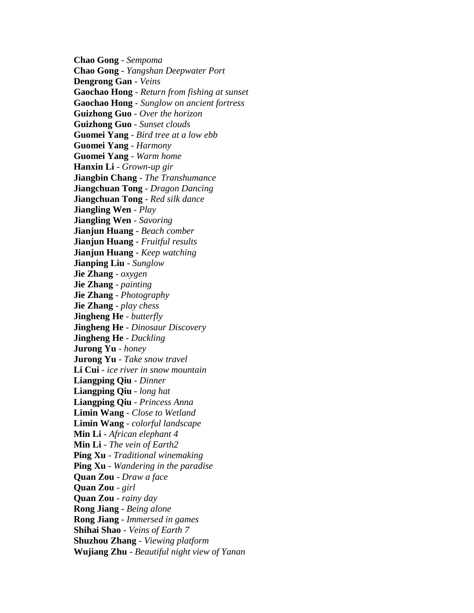**Chao Gong** - *Sempoma* **Chao Gong** - *Yangshan Deepwater Port* **Dengrong Gan** - *Veins* **Gaochao Hong** - *Return from fishing at sunset* **Gaochao Hong** - *Sunglow on ancient fortress* **Guizhong Guo** - *Over the horizon* **Guizhong Guo** - *Sunset clouds* **Guomei Yang** - *Bird tree at a low ebb* **Guomei Yang** - *Harmony* **Guomei Yang** - *Warm home* **Hanxin Li** - *Grown-up gir* **Jiangbin Chang** - *The Transhumance* **Jiangchuan Tong** - *Dragon Dancing* **Jiangchuan Tong** - *Red silk dance* **Jiangling Wen** - *Play* **Jiangling Wen** - *Savoring* **Jianjun Huang** - *Beach comber* **Jianjun Huang** - *Fruitful results* **Jianjun Huang** - *Keep watching* **Jianping Liu** - *Sunglow* **Jie Zhang** - *oxygen* **Jie Zhang** - *painting* **Jie Zhang** - *Photography* **Jie Zhang** - *play chess* **Jingheng He** - *butterfly* **Jingheng He** - *Dinosaur Discovery* **Jingheng He** - *Duckling* **Jurong Yu** - *honey* **Jurong Yu** - *Take snow travel* **Li Cui** - *ice river in snow mountain* **Liangping Qiu** - *Dinner* **Liangping Qiu** - *long hat* **Liangping Qiu** - *Princess Anna* **Limin Wang** - *Close to Wetland* **Limin Wang** - *colorful landscape* **Min Li** - *African elephant 4* **Min Li** - *The vein of Earth2* **Ping Xu** - *Traditional winemaking* **Ping Xu** - *Wandering in the paradise* **Quan Zou** - *Draw a face* **Quan Zou** - *girl* **Quan Zou** - *rainy day* **Rong Jiang** - *Being alone* **Rong Jiang** - *Immersed in games* **Shihai Shao** - *Veins of Earth 7* **Shuzhou Zhang** - *Viewing platform* **Wujiang Zhu** - *Beautiful night view of Yanan*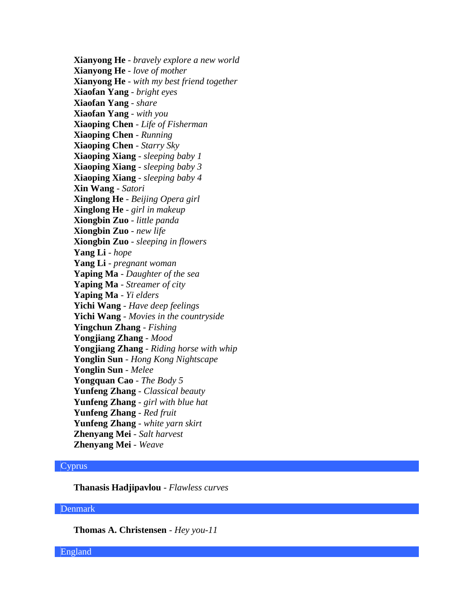**Xianyong He** - *bravely explore a new world* **Xianyong He** - *love of mother* **Xianyong He** - *with my best friend together* **Xiaofan Yang** - *bright eyes* **Xiaofan Yang** - *share* **Xiaofan Yang** - *with you* **Xiaoping Chen** - *Life of Fisherman* **Xiaoping Chen** - *Running* **Xiaoping Chen** - *Starry Sky* **Xiaoping Xiang** - *sleeping baby 1* **Xiaoping Xiang** - *sleeping baby 3* **Xiaoping Xiang** - *sleeping baby 4* **Xin Wang** - *Satori* **Xinglong He** - *Beijing Opera girl* **Xinglong He** - *girl in makeup* **Xiongbin Zuo** - *little panda* **Xiongbin Zuo** - *new life* **Xiongbin Zuo** - *sleeping in flowers* **Yang Li** - *hope* **Yang Li** - *pregnant woman* **Yaping Ma** - *Daughter of the sea* **Yaping Ma** - *Streamer of city* **Yaping Ma** - *Yi elders* **Yichi Wang** - *Have deep feelings* **Yichi Wang** - *Movies in the countryside* **Yingchun Zhang** - *Fishing* **Yongjiang Zhang** - *Mood* **Yongjiang Zhang** - *Riding horse with whip* **Yonglin Sun** - *Hong Kong Nightscape* **Yonglin Sun** - *Melee* **Yongquan Cao** - *The Body 5* **Yunfeng Zhang** - *Classical beauty* **Yunfeng Zhang** - *girl with blue hat* **Yunfeng Zhang** - *Red fruit* **Yunfeng Zhang** - *white yarn skirt* **Zhenyang Mei** - *Salt harvest* **Zhenyang Mei** - *Weave*

### Cyprus

**Thanasis Hadjipavlou** - *Flawless curves*

#### Denmark

**Thomas A. Christensen** - *Hey you-11*

England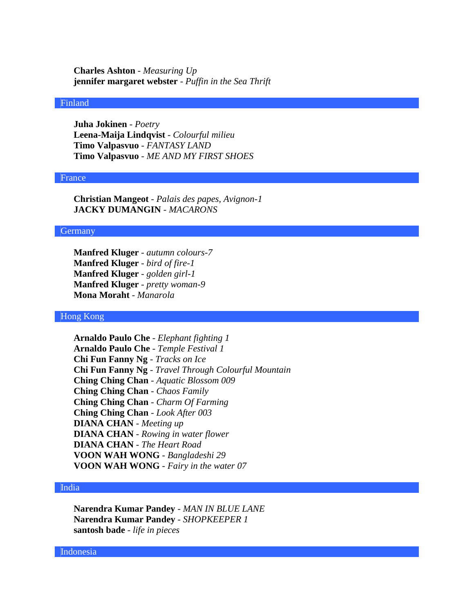**Charles Ashton** - *Measuring Up* **jennifer margaret webster** - *Puffin in the Sea Thrift*

### Finland

**Juha Jokinen** - *Poetry* **Leena-Maija Lindqvist** - *Colourful milieu* **Timo Valpasvuo** - *FANTASY LAND* **Timo Valpasvuo** - *ME AND MY FIRST SHOES*

#### France

**Christian Mangeot** - *Palais des papes, Avignon-1* **JACKY DUMANGIN** - *MACARONS*

#### Germany

**Manfred Kluger** - *autumn colours-7* **Manfred Kluger** - *bird of fire-1* **Manfred Kluger** - *golden girl-1* **Manfred Kluger** - *pretty woman-9* **Mona Moraht** - *Manarola*

#### Hong Kong

**Arnaldo Paulo Che** - *Elephant fighting 1* **Arnaldo Paulo Che** - *Temple Festival 1* **Chi Fun Fanny Ng** - *Tracks on Ice* **Chi Fun Fanny Ng** - *Travel Through Colourful Mountain* **Ching Ching Chan** - *Aquatic Blossom 009* **Ching Ching Chan** - *Chaos Family* **Ching Ching Chan** - *Charm Of Farming* **Ching Ching Chan** - *Look After 003* **DIANA CHAN** - *Meeting up* **DIANA CHAN** - *Rowing in water flower* **DIANA CHAN** - *The Heart Road* **VOON WAH WONG** - *Bangladeshi 29* **VOON WAH WONG** - *Fairy in the water 07*

#### India

**Narendra Kumar Pandey** - *MAN IN BLUE LANE* **Narendra Kumar Pandey** - *SHOPKEEPER 1* **santosh bade** - *life in pieces*

Indonesia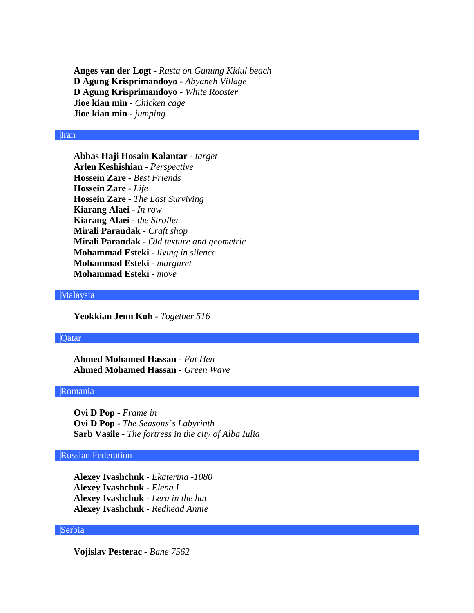**Anges van der Logt** - *Rasta on Gunung Kidul beach* **D Agung Krisprimandoyo** - *Abyaneh Village* **D Agung Krisprimandoyo** - *White Rooster* **Jioe kian min** - *Chicken cage* **Jioe kian min** - *jumping*

### Iran

**Abbas Haji Hosain Kalantar** - *target* **Arlen Keshishian** - *Perspective* **Hossein Zare** - *Best Friends* **Hossein Zare** - *Life* **Hossein Zare** - *The Last Surviving* **Kiarang Alaei** - *In row* **Kiarang Alaei** - *the Stroller* **Mirali Parandak** - *Craft shop* **Mirali Parandak** - *Old texture and geometric* **Mohammad Esteki** - *living in silence* **Mohammad Esteki** - *margaret* **Mohammad Esteki** - *move*

### Malaysia

**Yeokkian Jenn Koh** - *Together 516*

# **O**atar

**Ahmed Mohamed Hassan** - *Fat Hen* **Ahmed Mohamed Hassan** - *Green Wave*

# Romania

**Ovi D Pop** - *Frame in* **Ovi D Pop** - *The Seasons`s Labyrinth* **Sarb Vasile** - *The fortress in the city of Alba Iulia*

## Russian Federation

**Alexey Ivashchuk** - *Ekaterina -1080* **Alexey Ivashchuk** - *Elena I* **Alexey Ivashchuk** - *Lera in the hat* **Alexey Ivashchuk** - *Redhead Annie*

### Serbia

**Vojislav Pesterac** - *Bane 7562*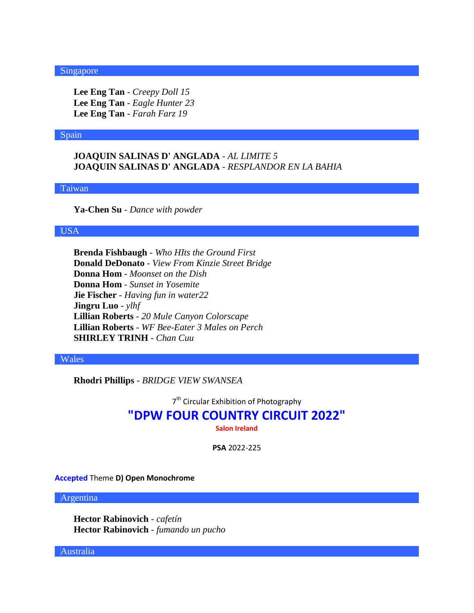#### Singapore

**Lee Eng Tan** - *Creepy Doll 15* **Lee Eng Tan** - *Eagle Hunter 23* **Lee Eng Tan** - *Farah Farz 19*

#### Spain

**JOAQUIN SALINAS D' ANGLADA** - *AL LIMITE 5* **JOAQUIN SALINAS D' ANGLADA** - *RESPLANDOR EN LA BAHIA*

Taiwan

**Ya-Chen Su** - *Dance with powder*

### USA

**Brenda Fishbaugh** - *Who HIts the Ground First* **Donald DeDonato** - *View From Kinzie Street Bridge* **Donna Hom** - *Moonset on the Dish* **Donna Hom** - *Sunset in Yosemite* **Jie Fischer** - *Having fun in water22* **Jingru Luo** - *ylhf* **Lillian Roberts** - *20 Mule Canyon Colorscape* **Lillian Roberts** - *WF Bee-Eater 3 Males on Perch* **SHIRLEY TRINH** - *Chan Cuu*

#### Wales

**Rhodri Phillips** - *BRIDGE VIEW SWANSEA*

7<sup>th</sup> Circular Exhibition of Photography

# **"DPW FOUR COUNTRY CIRCUIT 2022"**

**Salon Ireland**

**PSA** 2022-225

**Accepted** Theme **D) Open Monochrome**

Argentina

**Hector Rabinovich** - *cafetín* **Hector Rabinovich** - *fumando un pucho*

Australia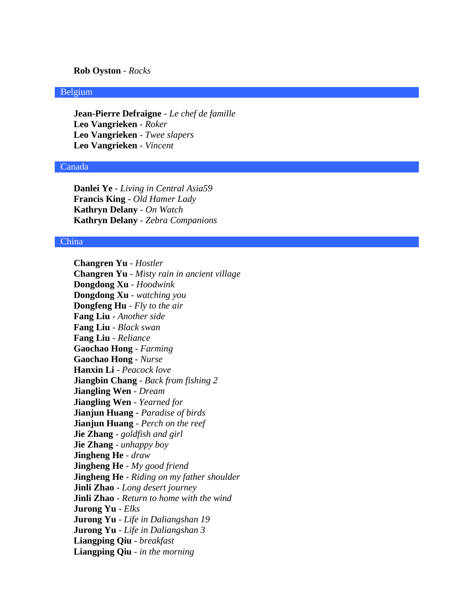### **Rob Oyston** - *Rocks*

### Belgium

**Jean-Pierre Defraigne** - *Le chef de famille* **Leo Vangrieken** - *Roker* **Leo Vangrieken** - *Twee slapers* **Leo Vangrieken** - *Vincent*

# Canada

**Danlei Ye** - *Living in Central Asia59* **Francis King** - *Old Hamer Lady* **Kathryn Delany** - *On Watch* **Kathryn Delany** - *Zebra Companions*

### China

**Changren Yu** - *Hostler* **Changren Yu** - *Misty rain in ancient village* **Dongdong Xu** - *Hoodwink* **Dongdong Xu** - *watching you* **Dongfeng Hu** - *Fly to the air* **Fang Liu** - *Another side* **Fang Liu** - *Black swan* **Fang Liu** - *Reliance* **Gaochao Hong** - *Farming* **Gaochao Hong** - *Nurse* **Hanxin Li** - *Peacock love* **Jiangbin Chang** - *Back from fishing 2* **Jiangling Wen** - *Dream* **Jiangling Wen** - *Yearned for* **Jianjun Huang** - *Paradise of birds* **Jianjun Huang** - *Perch on the reef* **Jie Zhang** - *goldfish and girl* **Jie Zhang** - *unhappy boy* **Jingheng He** - *draw* **Jingheng He** - *My good friend* **Jingheng He** - *Riding on my father shoulder* **Jinli Zhao** - *Long desert journey* **Jinli Zhao** - *Return to home with the wind* **Jurong Yu** - *Elks* **Jurong Yu** - *Life in Daliangshan 19* **Jurong Yu** - *Life in Daliangshan 3* **Liangping Qiu** - *breakfast* **Liangping Qiu** - *in the morning*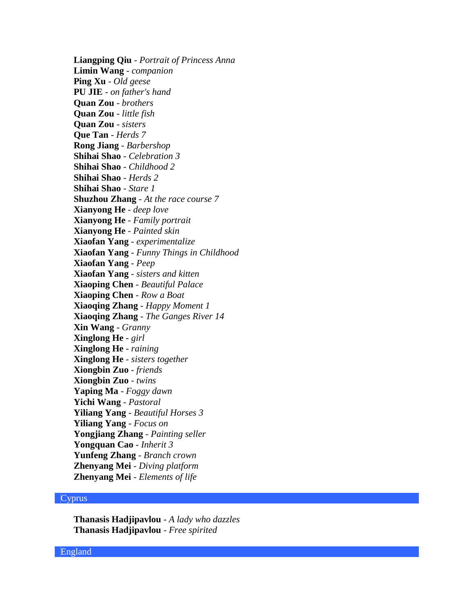**Liangping Qiu** - *Portrait of Princess Anna* **Limin Wang** - *companion* **Ping Xu** - *Old geese* **PU JIE** - *on father's hand* **Quan Zou** - *brothers* **Quan Zou** - *little fish* **Quan Zou** - *sisters* **Que Tan** - *Herds 7* **Rong Jiang** - *Barbershop* **Shihai Shao** - *Celebration 3* **Shihai Shao** - *Childhood 2* **Shihai Shao** - *Herds 2* **Shihai Shao** - *Stare 1* **Shuzhou Zhang** - *At the race course 7* **Xianyong He** - *deep love* **Xianyong He** - *Family portrait* **Xianyong He** - *Painted skin* **Xiaofan Yang** - *experimentalize* **Xiaofan Yang** - *Funny Things in Childhood* **Xiaofan Yang** - *Peep* **Xiaofan Yang** - *sisters and kitten* **Xiaoping Chen** - *Beautiful Palace* **Xiaoping Chen** - *Row a Boat* **Xiaoqing Zhang** - *Happy Moment 1* **Xiaoqing Zhang** - *The Ganges River 14* **Xin Wang** - *Granny* **Xinglong He** - *girl* **Xinglong He** - *raining* **Xinglong He** - *sisters together* **Xiongbin Zuo** - *friends* **Xiongbin Zuo** - *twins* **Yaping Ma** - *Foggy dawn* **Yichi Wang** - *Pastoral* **Yiliang Yang** - *Beautiful Horses 3* **Yiliang Yang** - *Focus on* **Yongjiang Zhang** - *Painting seller* **Yongquan Cao** - *Inherit 3* **Yunfeng Zhang** - *Branch crown* **Zhenyang Mei** - *Diving platform* **Zhenyang Mei** - *Elements of life*

#### Cyprus

**Thanasis Hadjipavlou** - *A lady who dazzles* **Thanasis Hadjipavlou** - *Free spirited*

England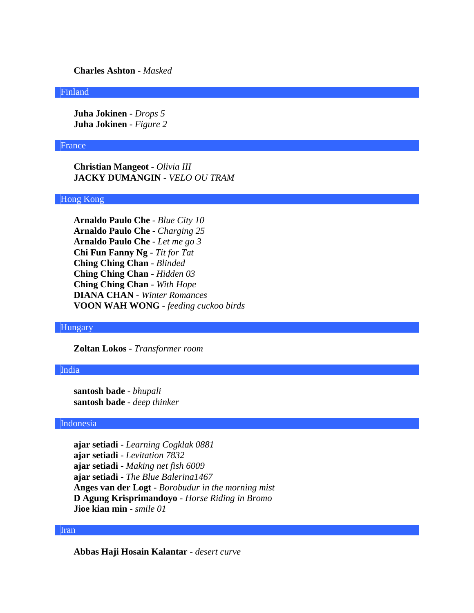**Charles Ashton** - *Masked*

### Finland

**Juha Jokinen** - *Drops 5* **Juha Jokinen** - *Figure 2*

#### France

**Christian Mangeot** - *Olivia III* **JACKY DUMANGIN** - *VELO OU TRAM*

## Hong Kong

**Arnaldo Paulo Che** - *Blue City 10* **Arnaldo Paulo Che** - *Charging 25* **Arnaldo Paulo Che** - *Let me go 3* **Chi Fun Fanny Ng** - *Tit for Tat* **Ching Ching Chan** - *Blinded* **Ching Ching Chan** - *Hidden 03* **Ching Ching Chan** - *With Hope* **DIANA CHAN** - *Winter Romances* **VOON WAH WONG** - *feeding cuckoo birds*

# Hungary

**Zoltan Lokos** - *Transformer room*

## India

**santosh bade** - *bhupali* **santosh bade** - *deep thinker*

#### Indonesia

**ajar setiadi** - *Learning Cogklak 0881* **ajar setiadi** - *Levitation 7832* **ajar setiadi** - *Making net fish 6009* **ajar setiadi** - *The Blue Balerina1467* **Anges van der Logt** - *Borobudur in the morning mist* **D Agung Krisprimandoyo** - *Horse Riding in Bromo* **Jioe kian min** - *smile 01*

#### Iran

**Abbas Haji Hosain Kalantar** - *desert curve*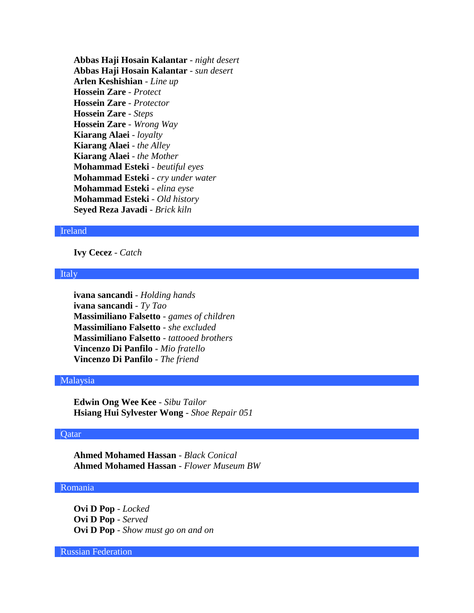**Abbas Haji Hosain Kalantar** - *night desert* **Abbas Haji Hosain Kalantar** - *sun desert* **Arlen Keshishian** - *Line up* **Hossein Zare** - *Protect* **Hossein Zare** - *Protector* **Hossein Zare** - *Steps* **Hossein Zare** - *Wrong Way* **Kiarang Alaei** - *loyalty* **Kiarang Alaei** - *the Alley* **Kiarang Alaei** - *the Mother* **Mohammad Esteki** - *beutiful eyes* **Mohammad Esteki** - *cry under water* **Mohammad Esteki** - *elina eyse* **Mohammad Esteki** - *Old history* **Seyed Reza Javadi** - *Brick kiln*

# Ireland

**Ivy Cecez** - *Catch*

#### Italy

**ivana sancandi** - *Holding hands* **ivana sancandi** - *Ty Tao* **Massimiliano Falsetto** - *games of children* **Massimiliano Falsetto** - *she excluded* **Massimiliano Falsetto** - *tattooed brothers* **Vincenzo Di Panfilo** - *Mio fratello* **Vincenzo Di Panfilo** - *The friend*

### Malaysia

**Edwin Ong Wee Kee** - *Sibu Tailor* **Hsiang Hui Sylvester Wong** - *Shoe Repair 051*

# Qatar

**Ahmed Mohamed Hassan** - *Black Conical* **Ahmed Mohamed Hassan** - *Flower Museum BW*

#### Romania

**Ovi D Pop** - *Locked* **Ovi D Pop** - *Served* **Ovi D Pop** - *Show must go on and on*

Russian Federation